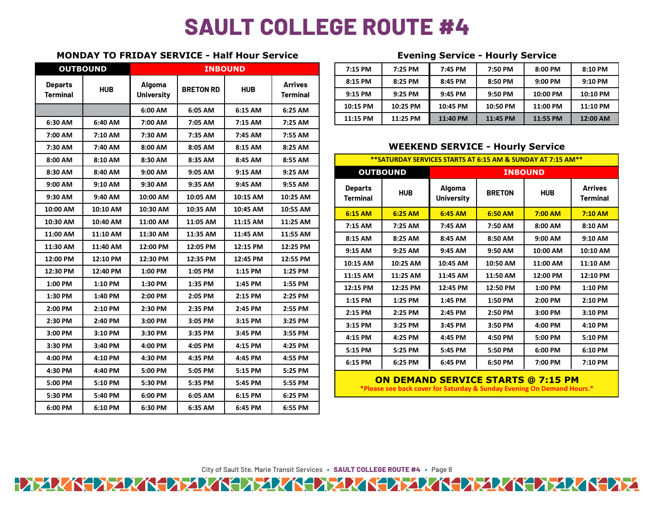## **SAULT COLLEGE ROUTE #4**

## **MONDAY TO FRIDAY SERVICE - Half Hour Service Evening Service - Hourly Service**

| <b>OUTBOUND</b> |            | <b>INBOUND</b>    |                  |            |                 |                                                                                                                     | 7:15 PM         | 7:25 PM         | 7:45 PM                            | 7:50 PM       | 8:00 PM    | 8:10 PM                           |  |
|-----------------|------------|-------------------|------------------|------------|-----------------|---------------------------------------------------------------------------------------------------------------------|-----------------|-----------------|------------------------------------|---------------|------------|-----------------------------------|--|
| <b>Departs</b>  | <b>HUB</b> | Algoma            | <b>BRETON RD</b> | <b>HUB</b> | <b>Arrives</b>  |                                                                                                                     | 8:15 PM         | 8:25 PM         | 8:45 PM                            | 8:50 PM       | 9:00 PM    | 9:10 PM                           |  |
| <b>Terminal</b> |            | <b>University</b> |                  |            | <b>Terminal</b> |                                                                                                                     | 9:15 PM         | 9:25 PM         | 9:45 PM                            | 9:50 PM       | 10:00 PM   | 10:10 PM                          |  |
|                 |            | 6:00 AM           | 6:05 AM          | 6:15 AM    | 6:25 AM         |                                                                                                                     | 10:15 PM        | 10:25 PM        | 10:45 PM                           | 10:50 PM      | 11:00 PM   | 11:10 PM                          |  |
| 6:30 AM         | 6:40 AM    | 7:00 AM           | 7:05 AM          | 7:15 AM    | 7:25 AM         |                                                                                                                     | 11:15 PM        | 11:25 PM        | 11:40 PM                           | 11:45 PM      | 11:55 PM   | 12:00 AM                          |  |
| 7:00 AM         | 7:10 AM    | 7:30 AM           | 7:35 AM          | 7:45 AM    | 7:55 AM         |                                                                                                                     |                 |                 |                                    |               |            |                                   |  |
| 7:30 AM         | 7:40 AM    | 8:00 AM           | 8:05 AM          | 8:15 AM    | 8:25 AM         | <b>WEEKEND SERVICE - Hourly Service</b>                                                                             |                 |                 |                                    |               |            |                                   |  |
| 8:00 AM         | 8:10 AM    | 8:30 AM           | 8:35 AM          | 8:45 AM    | 8:55 AM         | **SATURDAY SERVICES STARTS AT 6:15 AM & SUNDAY AT 7:15 AM**                                                         |                 |                 |                                    |               |            |                                   |  |
| 8:30 AM         | 8:40 AM    | 9:00 AM           | 9:05 AM          | 9:15 AM    | 9:25 AM         |                                                                                                                     |                 | <b>OUTBOUND</b> | <b>INBOUND</b>                     |               |            |                                   |  |
| 9:00 AM         | 9:10 AM    | 9:30 AM           | 9:35 AM          | 9:45 AM    | 9:55 AM         |                                                                                                                     | <b>Departs</b>  | <b>HUB</b>      | <b>Algoma</b><br><b>University</b> | <b>BRETON</b> | <b>HUB</b> | <b>Arrives</b><br><b>Terminal</b> |  |
| 9:30 AM         | 9:40 AM    | 10:00 AM          | 10:05 AM         | 10:15 AM   | 10:25 AM        |                                                                                                                     | <b>Terminal</b> |                 |                                    |               |            |                                   |  |
| 10:00 AM        | 10:10 AM   | 10:30 AM          | 10:35 AM         | 10:45 AM   | 10:55 AM        |                                                                                                                     | 6:15 AM         | 6:25 AM         | 6:45 AM                            | 6:50 AM       | 7:00 AM    | 7:10 AM                           |  |
| 10:30 AM        | 10:40 AM   | 11:00 AM          | 11:05 AM         | 11:15 AM   | 11:25 AM        |                                                                                                                     | 7:15 AM         | 7:25 AM         | 7:45 AM                            | 7:50 AM       | 8:00 AM    | 8:10 AM                           |  |
| 11:00 AM        | 11:10 AM   | 11:30 AM          | 11:35 AM         | 11:45 AM   | 11:55 AM        |                                                                                                                     | 8:15 AM         | 8:25 AM         | 8:45 AM                            | 8:50 AM       | 9:00 AM    | 9:10 AM                           |  |
| 11:30 AM        | 11:40 AM   | 12:00 PM          | 12:05 PM         | 12:15 PM   | 12:25 PM        |                                                                                                                     | 9:15 AM         | 9:25 AM         | 9:45 AM                            | 9:50 AM       | 10:00 AM   | 10:10 AM                          |  |
| 12:00 PM        | 12:10 PM   | 12:30 PM          | 12:35 PM         | 12:45 PM   | 12:55 PM        |                                                                                                                     | 10:15 AM        | 10:25 AM        | 10:45 AM                           | 10:50 AM      | 11:00 AM   | 11:10 AM                          |  |
| 12:30 PM        | 12:40 PM   | 1:00 PM           | 1:05 PM          | 1:15 PM    | 1:25 PM         |                                                                                                                     | 11:15 AM        | 11:25 AM        | 11:45 AM                           | 11:50 AM      | 12:00 PM   | 12:10 PM                          |  |
| 1:00 PM         | 1:10 PM    | 1:30 PM           | 1:35 PM          | 1:45 PM    | 1:55 PM         |                                                                                                                     | 12:15 PM        | 12:25 PM        | 12:45 PM                           | 12:50 PM      | 1:00 PM    | 1:10 PM                           |  |
| 1:30 PM         | 1:40 PM    | 2:00 PM           | 2:05 PM          | 2:15 PM    | 2:25 PM         |                                                                                                                     | 1:15 PM         | 1:25 PM         | 1:45 PM                            | 1:50 PM       | 2:00 PM    | 2:10 PM                           |  |
| 2:00 PM         | 2:10 PM    | 2:30 PM           | 2:35 PM          | 2:45 PM    | 2:55 PM         |                                                                                                                     | 2:15 PM         | 2:25 PM         | 2:45 PM                            | 2:50 PM       | 3:00 PM    | 3:10 PM                           |  |
| 2:30 PM         | 2:40 PM    | 3:00 PM           | 3:05 PM          | 3:15 PM    | 3:25 PM         |                                                                                                                     | 3:15 PM         | 3:25 PM         | 3:45 PM                            | 3:50 PM       | 4:00 PM    | 4:10 PM                           |  |
| 3:00 PM         | 3:10 PM    | 3:30 PM           | 3:35 PM          | 3:45 PM    | 3:55 PM         |                                                                                                                     | 4:15 PM         | 4:25 PM         | 4:45 PM                            | 4:50 PM       | 5:00 PM    | 5:10 PM                           |  |
| 3:30 PM         | 3:40 PM    | 4:00 PM           | 4:05 PM          | 4:15 PM    | 4:25 PM         |                                                                                                                     | 5:15 PM         | 5:25 PM         | 5:45 PM                            | 5:50 PM       | 6:00 PM    | 6:10 PM                           |  |
| 4:00 PM         | 4:10 PM    | 4:30 PM           | 4:35 PM          | 4:45 PM    | 4:55 PM         |                                                                                                                     | 6:15 PM         | 6:25 PM         | 6:45 PM                            | 6:50 PM       | 7:00 PM    | 7:10 PM                           |  |
| 4:30 PM         | 4:40 PM    | 5:00 PM           | 5:05 PM          | 5:15 PM    | 5:25 PM         |                                                                                                                     |                 |                 |                                    |               |            |                                   |  |
| 5:00 PM         | 5:10 PM    | 5:30 PM           | 5:35 PM          | 5:45 PM    | 5:55 PM         | <b>ON DEMAND SERVICE STARTS @ 7:15 PM</b><br>*Please see back cover for Saturday & Sunday Evening On Demand Hours.* |                 |                 |                                    |               |            |                                   |  |
| 5:30 PM         | 5:40 PM    | 6:00 PM           | 6:05 AM          | 6:15 PM    | 6:25 PM         |                                                                                                                     |                 |                 |                                    |               |            |                                   |  |
| 6:00 PM         | 6:10 PM    | 6:30 PM           | 6:35 AM          | 6:45 PM    | 6:55 PM         |                                                                                                                     |                 |                 |                                    |               |            |                                   |  |

|                             | OUTBOUND             | <b>INBOUND</b>   |            |                            |         |         | 7:15 PM  | 7:25 PM  | 7:45 PM  | 7:50 PM  | 8:00 PM  | 8:10 PM  |
|-----------------------------|----------------------|------------------|------------|----------------------------|---------|---------|----------|----------|----------|----------|----------|----------|
| arts<br><b>HUB</b><br>hinal | Algoma<br>Universitv | <b>BRETON RD</b> | <b>HUB</b> | <b>Arrives</b><br>Terminal |         | 8:15 PM | 8:25 PM  | 8:45 PM  | 8:50 PM  | 9:00 PM  | 9:10 PM  |          |
|                             |                      |                  |            |                            |         | 9:15 PM | 9:25 PM  | 9:45 PM  | 9:50 PM  | 10:00 PM | 10:10 PM |          |
|                             |                      | 6:00 AM          | 6:05 AM    | 6:15 AM                    | 6:25 AM |         | 10:15 PM | 10:25 PM | 10:45 PM | 10:50 PM | 11:00 PM | 11:10 PM |
| ΔM                          | $6.40 \Delta M$      | $7.00 \Delta M$  | 7.05 AM    | 7.15 AM                    | 7.25 AM |         | 11:15 PM | 11:25 PM | 11:40 PM | 11:45 PM | 11:55 PM | 12:00 AM |

## **WEEKEND SERVICE - Hourly Service**

| **SATURDAY SERVICES STARTS AT 6:15 AM & SUNDAY AT 7:15 AM** |                 |                                    |               |            |                                   |  |  |  |  |
|-------------------------------------------------------------|-----------------|------------------------------------|---------------|------------|-----------------------------------|--|--|--|--|
|                                                             | <b>OUTBOUND</b> | <b>INBOUND</b>                     |               |            |                                   |  |  |  |  |
| <b>Departs</b><br><b>Terminal</b>                           | <b>HUB</b>      | <b>Algoma</b><br><b>University</b> | <b>BRETON</b> | <b>HUB</b> | <b>Arrives</b><br><b>Terminal</b> |  |  |  |  |
| $6:15$ AM                                                   | $6:25$ AM       | 6:45 AM                            | $6:50$ AM     | $7:00$ AM  | $7:10$ AM                         |  |  |  |  |
| 7:15 AM                                                     | 7:25 AM         | 7:45 AM                            | 7:50 AM       | 8:00 AM    | 8:10 AM                           |  |  |  |  |
| 8:15 AM                                                     | 8:25 AM         | 8:45 AM                            | 8:50 AM       | $9:00$ AM  | $9:10$ AM                         |  |  |  |  |
| 9:15 AM                                                     | 9:25 AM         | 9:45 AM                            | 9:50 AM       | 10:00 AM   | 10:10 AM                          |  |  |  |  |
| 10:15 AM                                                    | 10:25 AM        | 10:45 AM                           | 10:50 AM      | 11:00 AM   | 11:10 AM                          |  |  |  |  |
| 11:15 AM                                                    | 11:25 AM        | 11:45 AM                           | 11:50 AM      | 12:00 PM   | 12:10 PM                          |  |  |  |  |
| 12:15 PM                                                    | 12:25 PM        | 12:45 PM                           | 12:50 PM      | 1:00 PM    | 1:10 PM                           |  |  |  |  |
| 1:15 PM                                                     | 1:25 PM         | 1:45 PM                            | 1:50 PM       | 2:00 PM    | 2:10 PM                           |  |  |  |  |
| 2:15 PM                                                     | 2:25 PM         | 2:45 PM                            | 2:50 PM       | 3:00 PM    | 3:10 PM                           |  |  |  |  |
| 3:15 PM                                                     | 3:25 PM         | 3:45 PM                            | 3:50 PM       | 4:00 PM    | 4:10 PM                           |  |  |  |  |
| 4:15 PM                                                     | 4:25 PM         | 4:45 PM                            | 4:50 PM       | 5:00 PM    | 5:10 PM                           |  |  |  |  |
| 5:15 PM                                                     | 5:25 PM         | 5:45 PM                            | 5:50 PM       | 6:00 PM    | 6:10 PM                           |  |  |  |  |
| 6:15 PM                                                     | 6:25 PM         | 6:45 PM                            | 6:50 PM       | 7:00 PM    | 7:10 PM                           |  |  |  |  |

City of Sault Ste. Marie Transit Services **∙ SAULT COLLEGE ROUTE #4 ∙** Page 8